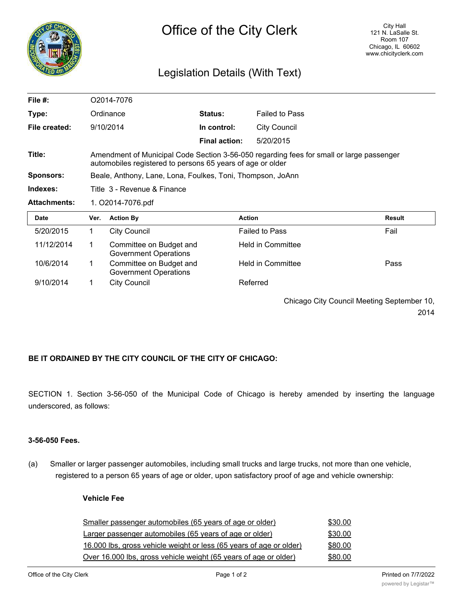

## Legislation Details (With Text)

| File #:             | O2014-7076                                                                                                                                             |                                                         |                      |                                            |               |  |
|---------------------|--------------------------------------------------------------------------------------------------------------------------------------------------------|---------------------------------------------------------|----------------------|--------------------------------------------|---------------|--|
| Type:               |                                                                                                                                                        | Ordinance                                               | <b>Status:</b>       | <b>Failed to Pass</b>                      |               |  |
| File created:       |                                                                                                                                                        | 9/10/2014                                               | In control:          | <b>City Council</b>                        |               |  |
|                     |                                                                                                                                                        |                                                         | <b>Final action:</b> | 5/20/2015                                  |               |  |
| Title:              | Amendment of Municipal Code Section 3-56-050 regarding fees for small or large passenger<br>automobiles registered to persons 65 years of age or older |                                                         |                      |                                            |               |  |
| Sponsors:           | Beale, Anthony, Lane, Lona, Foulkes, Toni, Thompson, JoAnn                                                                                             |                                                         |                      |                                            |               |  |
| Indexes:            | Title  3 - Revenue & Finance                                                                                                                           |                                                         |                      |                                            |               |  |
| <b>Attachments:</b> | 1. O2014-7076.pdf                                                                                                                                      |                                                         |                      |                                            |               |  |
| Date                | Ver.                                                                                                                                                   | <b>Action By</b>                                        | <b>Action</b>        |                                            | <b>Result</b> |  |
| 5/20/2015           | 1.                                                                                                                                                     | <b>City Council</b>                                     |                      | <b>Failed to Pass</b>                      | Fail          |  |
| 11/12/2014          | 1                                                                                                                                                      | Committee on Budget and<br><b>Government Operations</b> |                      | Held in Committee                          |               |  |
| 10/6/2014           | 1                                                                                                                                                      | Committee on Budget and<br><b>Government Operations</b> |                      | <b>Held in Committee</b>                   | Pass          |  |
| 9/10/2014           | 1                                                                                                                                                      | <b>City Council</b>                                     |                      | Referred                                   |               |  |
|                     |                                                                                                                                                        |                                                         |                      | Chicago City Council Meeting September 10, |               |  |

2014

## **BE IT ORDAINED BY THE CITY COUNCIL OF THE CITY OF CHICAGO:**

SECTION 1. Section 3-56-050 of the Municipal Code of Chicago is hereby amended by inserting the language underscored, as follows:

## **3-56-050 Fees.**

(a) Smaller or larger passenger automobiles, including small trucks and large trucks, not more than one vehicle, registered to a person 65 years of age or older, upon satisfactory proof of age and vehicle ownership:

## **Vehicle Fee**

| Smaller passenger automobiles (65 years of age or older)            | \$30.00 |
|---------------------------------------------------------------------|---------|
| Larger passenger automobiles (65 years of age or older)             | \$30.00 |
| 16.000 lbs, gross vehicle weight or less (65 years of age or older) | \$80.00 |
| Over 16.000 lbs, gross vehicle weight (65 years of age or older)    | \$80.00 |